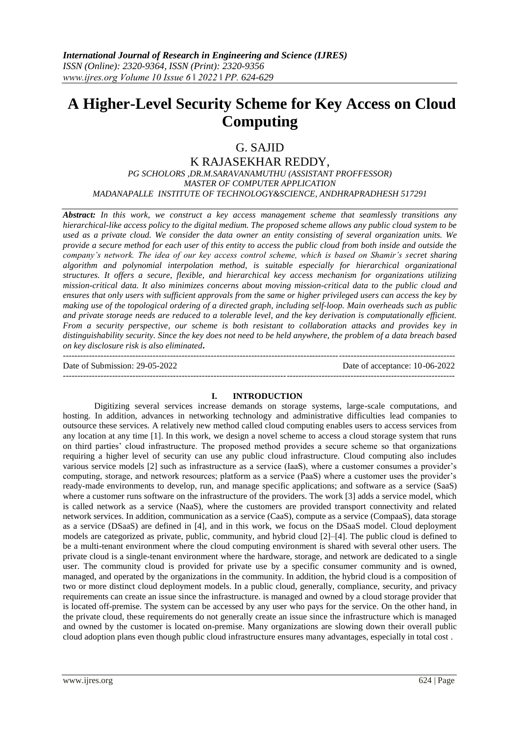# **A Higher-Level Security Scheme for Key Access on Cloud Computing**

## G. SAJID

K RAJASEKHAR REDDY, *PG SCHOLORS ,DR.M.SARAVANAMUTHU (ASSISTANT PROFFESSOR) MASTER OF COMPUTER APPLICATION MADANAPALLE INSTITUTE OF TECHNOLOGY&SCIENCE, ANDHRAPRADHESH 517291*

*Abstract: In this work, we construct a key access management scheme that seamlessly transitions any hierarchical-like access policy to the digital medium. The proposed scheme allows any public cloud system to be used as a private cloud. We consider the data owner an entity consisting of several organization units. We provide a secure method for each user of this entity to access the public cloud from both inside and outside the company's network. The idea of our key access control scheme, which is based on Shamir's secret sharing algorithm and polynomial interpolation method, is suitable especially for hierarchical organizational structures. It offers a secure, flexible, and hierarchical key access mechanism for organizations utilizing mission-critical data. It also minimizes concerns about moving mission-critical data to the public cloud and ensures that only users with sufficient approvals from the same or higher privileged users can access the key by making use of the topological ordering of a directed graph, including self-loop. Main overheads such as public and private storage needs are reduced to a tolerable level, and the key derivation is computationally efficient. From a security perspective, our scheme is both resistant to collaboration attacks and provides key in distinguishability security. Since the key does not need to be held anywhere, the problem of a data breach based on key disclosure risk is also eliminated***.**

--------------------------------------------------------------------------------------------------------------------------------------- Date of Submission: 29-05-2022 Date of acceptance: 10-06-2022 ---------------------------------------------------------------------------------------------------------------------------------------

#### **I. INTRODUCTION**

Digitizing several services increase demands on storage systems, large-scale computations, and hosting. In addition, advances in networking technology and administrative difficulties lead companies to outsource these services. A relatively new method called cloud computing enables users to access services from any location at any time [1]. In this work, we design a novel scheme to access a cloud storage system that runs on third parties' cloud infrastructure. The proposed method provides a secure scheme so that organizations requiring a higher level of security can use any public cloud infrastructure. Cloud computing also includes various service models [2] such as infrastructure as a service (IaaS), where a customer consumes a provider's computing, storage, and network resources; platform as a service (PaaS) where a customer uses the provider's ready-made environments to develop, run, and manage specific applications; and software as a service (SaaS) where a customer runs software on the infrastructure of the providers. The work [3] adds a service model, which is called network as a service (NaaS), where the customers are provided transport connectivity and related network services. In addition, communication as a service (CaaS), compute as a service (CompaaS), data storage as a service (DSaaS) are defined in [4], and in this work, we focus on the DSaaS model. Cloud deployment models are categorized as private, public, community, and hybrid cloud [2]–[4]. The public cloud is defined to be a multi-tenant environment where the cloud computing environment is shared with several other users. The private cloud is a single-tenant environment where the hardware, storage, and network are dedicated to a single user. The community cloud is provided for private use by a specific consumer community and is owned, managed, and operated by the organizations in the community. In addition, the hybrid cloud is a composition of two or more distinct cloud deployment models. In a public cloud, generally, compliance, security, and privacy requirements can create an issue since the infrastructure. is managed and owned by a cloud storage provider that is located off-premise. The system can be accessed by any user who pays for the service. On the other hand, in the private cloud, these requirements do not generally create an issue since the infrastructure which is managed and owned by the customer is located on-premise. Many organizations are slowing down their overall public cloud adoption plans even though public cloud infrastructure ensures many advantages, especially in total cost .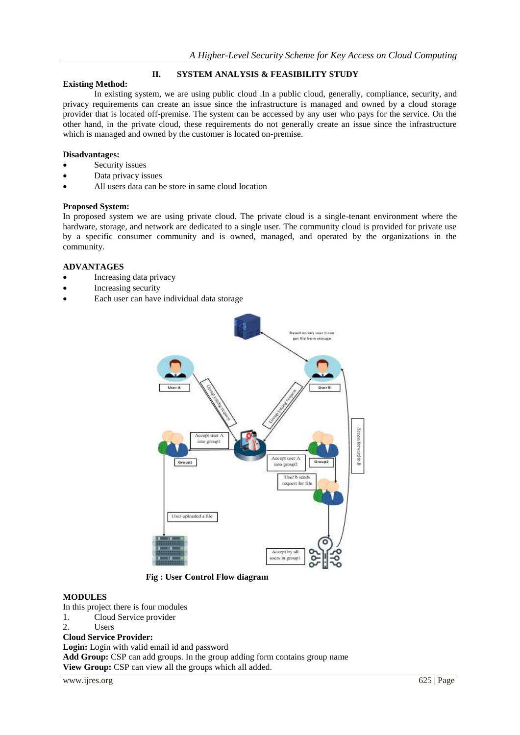## **II. SYSTEM ANALYSIS & FEASIBILITY STUDY**

## **Existing Method:**

In existing system, we are using public cloud .In a public cloud, generally, compliance, security, and privacy requirements can create an issue since the infrastructure is managed and owned by a cloud storage provider that is located off-premise. The system can be accessed by any user who pays for the service. On the other hand, in the private cloud, these requirements do not generally create an issue since the infrastructure which is managed and owned by the customer is located on-premise.

#### **Disadvantages:**

- Security issues
- Data privacy issues
- All users data can be store in same cloud location

#### **Proposed System:**

In proposed system we are using private cloud. The private cloud is a single-tenant environment where the hardware, storage, and network are dedicated to a single user. The community cloud is provided for private use by a specific consumer community and is owned, managed, and operated by the organizations in the community.

#### **ADVANTAGES**

- Increasing data privacy
- Increasing security
- Each user can have individual data storage



 **Fig : User Control Flow diagram**

#### **MODULES**

In this project there is four modules

- 1. Cloud Service provider
- 2 I Isers

## **Cloud Service Provider:**

**Login:** Login with valid email id and password

Add Group: CSP can add groups. In the group adding form contains group name **View Group:** CSP can view all the groups which all added.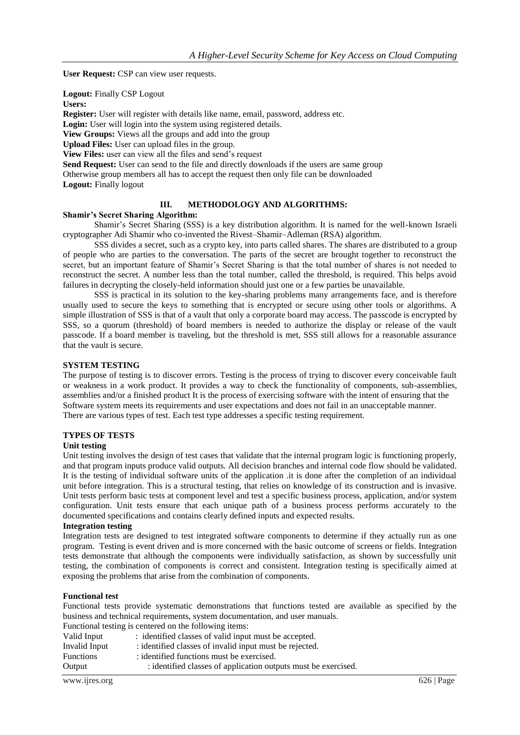**User Request:** CSP can view user requests.

**Logout:** Finally CSP Logout

**Users:**

**Register:** User will register with details like name, email, password, address etc.

Login: User will login into the system using registered details.

**View Groups:** Views all the groups and add into the group

**Upload Files:** User can upload files in the group.

**View Files:** user can view all the files and send's request

**Send Request:** User can send to the file and directly downloads if the users are same group Otherwise group members all has to accept the request then only file can be downloaded

**Logout:** Finally logout

### **III. METHODOLOGY AND ALGORITHMS:**

#### **Shamir's Secret Sharing Algorithm:**

Shamir's Secret Sharing (SSS) is a key distribution algorithm. It is named for the well-known Israeli cryptographer Adi Shamir who co-invented the Rivest–Shamir–Adleman (RSA) algorithm.

SSS divides a secret, such as a crypto key, into parts called shares. The shares are distributed to a group of people who are parties to the conversation. The parts of the secret are brought together to reconstruct the secret, but an important feature of Shamir's Secret Sharing is that the total number of shares is not needed to reconstruct the secret. A number less than the total number, called the threshold, is required. This helps avoid failures in decrypting the closely-held information should just one or a few parties be unavailable.

SSS is practical in its solution to the key-sharing problems many arrangements face, and is therefore usually used to secure the keys to something that is encrypted or secure using other tools or algorithms. A simple illustration of SSS is that of a vault that only a corporate board may access. The passcode is encrypted by SSS, so a quorum (threshold) of board members is needed to authorize the display or release of the vault passcode. If a board member is traveling, but the threshold is met, SSS still allows for a reasonable assurance that the vault is secure.

#### **SYSTEM TESTING**

The purpose of testing is to discover errors. Testing is the process of trying to discover every conceivable fault or weakness in a work product. It provides a way to check the functionality of components, sub-assemblies, assemblies and/or a finished product It is the process of exercising software with the intent of ensuring that the Software system meets its requirements and user expectations and does not fail in an unacceptable manner. There are various types of test. Each test type addresses a specific testing requirement.

#### **TYPES OF TESTS**

#### **Unit testing**

Unit testing involves the design of test cases that validate that the internal program logic is functioning properly, and that program inputs produce valid outputs. All decision branches and internal code flow should be validated. It is the testing of individual software units of the application .it is done after the completion of an individual unit before integration. This is a structural testing, that relies on knowledge of its construction and is invasive. Unit tests perform basic tests at component level and test a specific business process, application, and/or system configuration. Unit tests ensure that each unique path of a business process performs accurately to the documented specifications and contains clearly defined inputs and expected results.

#### **Integration testing**

Integration tests are designed to test integrated software components to determine if they actually run as one program. Testing is event driven and is more concerned with the basic outcome of screens or fields. Integration tests demonstrate that although the components were individually satisfaction, as shown by successfully unit testing, the combination of components is correct and consistent. Integration testing is specifically aimed at exposing the problems that arise from the combination of components.

#### **Functional test**

Functional tests provide systematic demonstrations that functions tested are available as specified by the business and technical requirements, system documentation, and user manuals. nctional testing is centered on the following it

|                  | Functional testing is centered on the following fields.        |
|------------------|----------------------------------------------------------------|
| Valid Input      | : identified classes of valid input must be accepted.          |
| Invalid Input    | : identified classes of invalid input must be rejected.        |
| <b>Functions</b> | : identified functions must be exercised.                      |
| Output           | : identified classes of application outputs must be exercised. |
|                  |                                                                |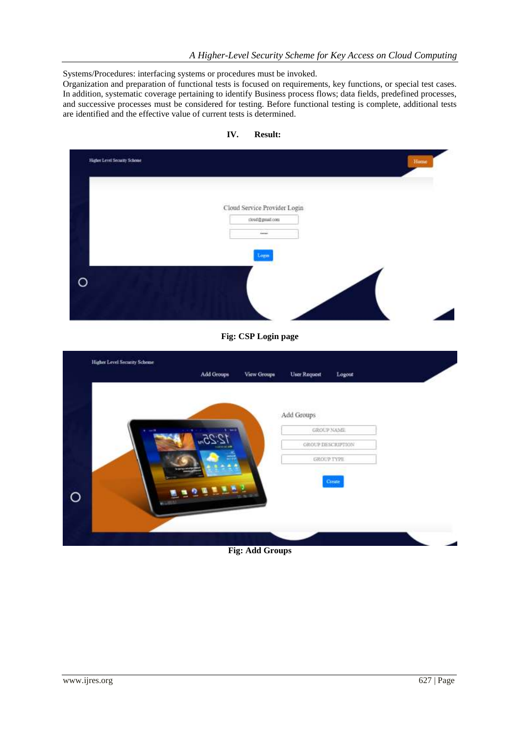Systems/Procedures: interfacing systems or procedures must be invoked.

Organization and preparation of functional tests is focused on requirements, key functions, or special test cases. In addition, systematic coverage pertaining to identify Business process flows; data fields, predefined processes, and successive processes must be considered for testing. Before functional testing is complete, additional tests are identified and the effective value of current tests is determined.

|                              |                    | Cloud Service Provider Login<br>close@gmail.com |                               |  |
|------------------------------|--------------------|-------------------------------------------------|-------------------------------|--|
|                              |                    | Annual.                                         |                               |  |
|                              |                    | Login                                           |                               |  |
|                              |                    |                                                 |                               |  |
| $\Omega$                     |                    |                                                 |                               |  |
|                              |                    |                                                 |                               |  |
|                              |                    |                                                 |                               |  |
|                              |                    |                                                 |                               |  |
|                              |                    | Fig: CSP Login page                             |                               |  |
| Higher Level Security Scheme |                    |                                                 |                               |  |
|                              | Add Groups         | View Groups                                     | <b>User Request</b><br>Logout |  |
|                              |                    |                                                 |                               |  |
|                              |                    |                                                 |                               |  |
|                              |                    |                                                 | Add Groups<br>GROUP NAME      |  |
|                              | 12.25 <sub>m</sub> |                                                 | GROUP DESCRIPTION             |  |

**IV. Result:** 

**Fig: Add Groups**

 $\circ$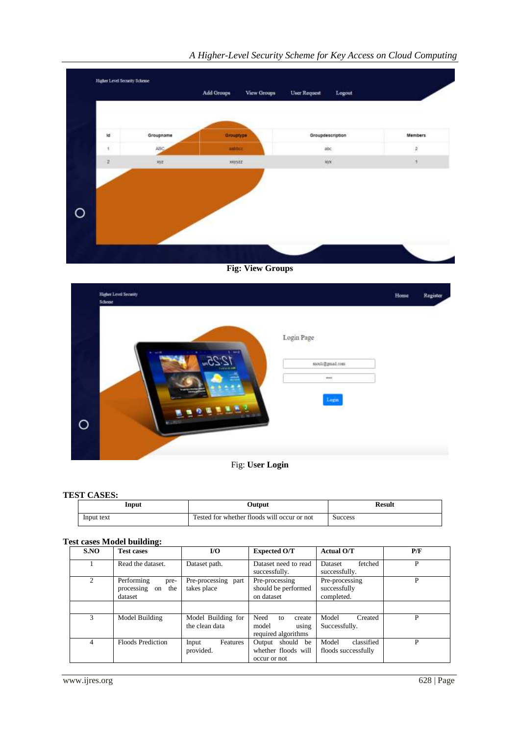

## *A Higher-Level Security Scheme for Key Access on Cloud Computing*

**Fig: View Groups**

| $\operatorname{Login}\operatorname{Page}$<br>$-10$ | Register |
|----------------------------------------------------|----------|
|                                                    |          |
| mouli@gmail.com<br>$_{\rm{max}}$                   |          |
| Login<br><b>Contact of the</b>                     |          |
| $18.0 - 1$<br>$\circ$<br>ALC: UNK                  |          |

Fig: **User Login**

#### **TEST CASES:**

| Input      | Output                                      | Result         |
|------------|---------------------------------------------|----------------|
| Input text | Tested for whether floods will occur or not | <b>Success</b> |

## **Test cases Model building:**

| S.NO           | <b>Test cases</b>                                        | I/O                                  | <b>Expected O/T</b>                                           | <b>Actual O/T</b>                            | P/F |
|----------------|----------------------------------------------------------|--------------------------------------|---------------------------------------------------------------|----------------------------------------------|-----|
|                | Read the dataset.                                        | Dataset path.                        | Dataset need to read<br>successfully.                         | fetched<br>Dataset<br>successfully.          | P   |
| $\mathfrak{D}$ | Performing<br>pre-<br>processing<br>the<br>on<br>dataset | Pre-processing part<br>takes place   | Pre-processing<br>should be performed<br>on dataset           | Pre-processing<br>successfully<br>completed. | P   |
|                |                                                          |                                      |                                                               |                                              |     |
| $\mathcal{R}$  | Model Building                                           | Model Building for<br>the clean data | Need<br>create<br>to<br>model<br>using<br>required algorithms | Model<br>Created<br>Successfully.            | P   |
| 4              | <b>Floods Prediction</b>                                 | Features<br>Input<br>provided.       | Output should be<br>whether floods will<br>occur or not       | classified<br>Model<br>floods successfully   | P   |